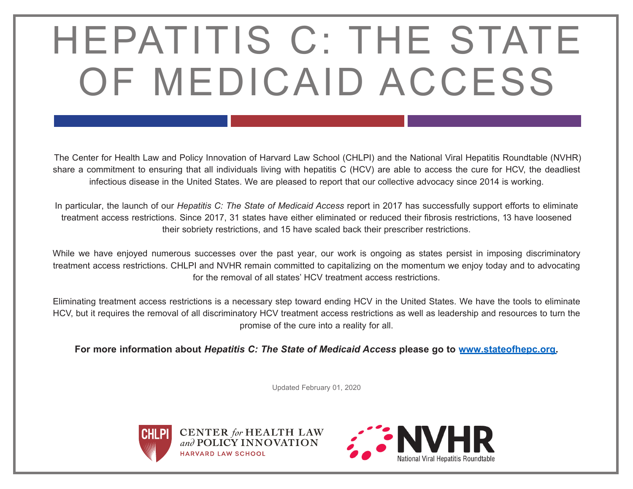### HEPATITIS C: THE STATE OF MEDICAID ACCESS

The Center for Health Law and Policy Innovation of Harvard Law School (CHLPI) and the National Viral Hepatitis Roundtable (NVHR) share a commitment to ensuring that all individuals living with hepatitis C (HCV) are able to access the cure for HCV, the deadliest infectious disease in the United States. We are pleased to report that our collective advocacy since 2014 is working.

In particular, the launch of our *Hepatitis C: The State of Medicaid Access* report in 2017 has successfully support efforts to eliminate treatment access restrictions. Since 2017, 31 states have either eliminated or reduced their fibrosis restrictions, 13 have loosened their sobriety restrictions, and 15 have scaled back their prescriber restrictions.

While we have enjoyed numerous successes over the past year, our work is ongoing as states persist in imposing discriminatory treatment access restrictions. CHLPI and NVHR remain committed to capitalizing on the momentum we enjoy today and to advocating for the removal of all states' HCV treatment access restrictions.

Eliminating treatment access restrictions is a necessary step toward ending HCV in the United States. We have the tools to eliminate HCV, but it requires the removal of all discriminatory HCV treatment access restrictions as well as leadership and resources to turn the promise of the cure into a reality for all.

**For more information about** *Hepatitis C: The State of Medicaid Access* **please go to [www.stateofhepc.org.](http://www.stateofhepc.org)** 

Updated February 01, 2020





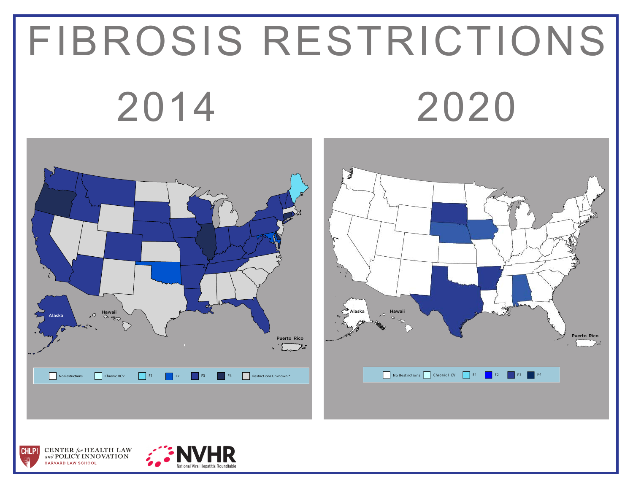# FIBROSIS RESTRICTIONS 2014 2020





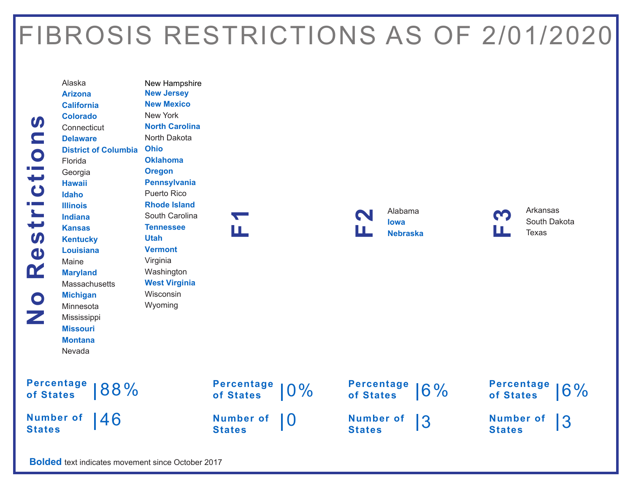### FIBROSIS RESTRICTIONS AS OF 2/01/2020



Alaska **Arizona California Colorado Connecticut Delaware District of Columbia Ohio** Florida Georgia **Hawaii Idaho Illinois Indiana Kansas Kentucky Louisiana** Maine **Maryland Massachusetts Michigan** Minnesota Mississippi **Missouri Montana** Nevada

New Hampshire **New Jersey New Mexico** New York **North Carolina** North Dakota **Oklahoma Oregon Pennsylvania** Puerto Rico **Rhode Island** South Carolina **Tennessee Utah Vermont** Virginia Washington **West Virginia** Wisconsin Wyoming

**F1**

Alabama **Iowa F2 Nebraska** <u>က</u><br>LL</u>

Arkansas South Dakota **Texas** 

| Percentage 88% |  |
|----------------|--|
|                |  |

**Number of States** 46



**Percentage of States** 6%

**Number of States** 3



**Bolded** text indicates movement since October 2017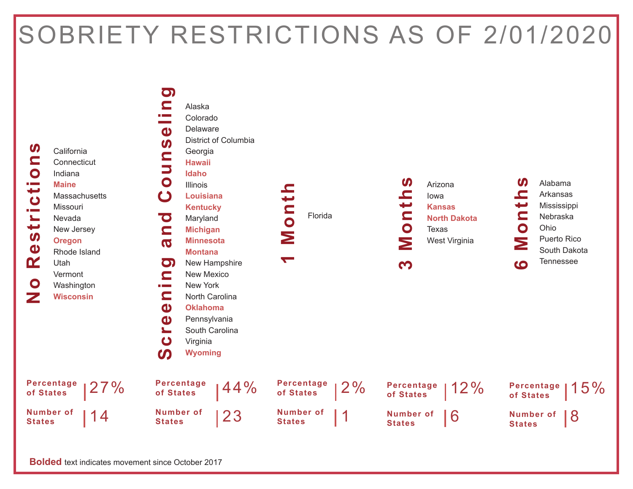#### SOBRIETY RESTRICTIONS AS OF 2/01/2020



**Bolded** text indicates movement since October 2017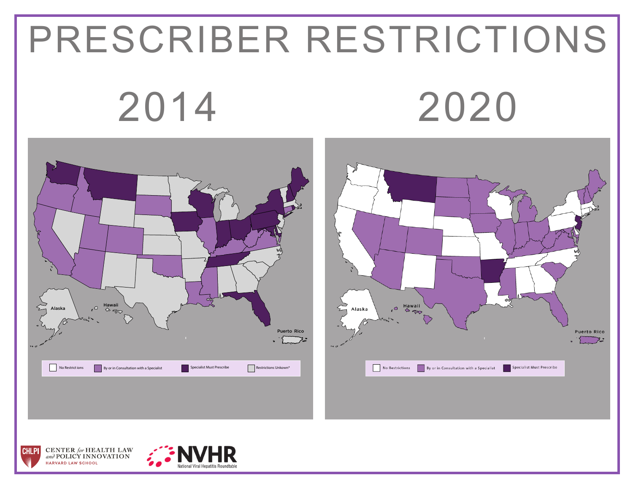# PRESCRIBER RESTRICTIONS 2014 2020